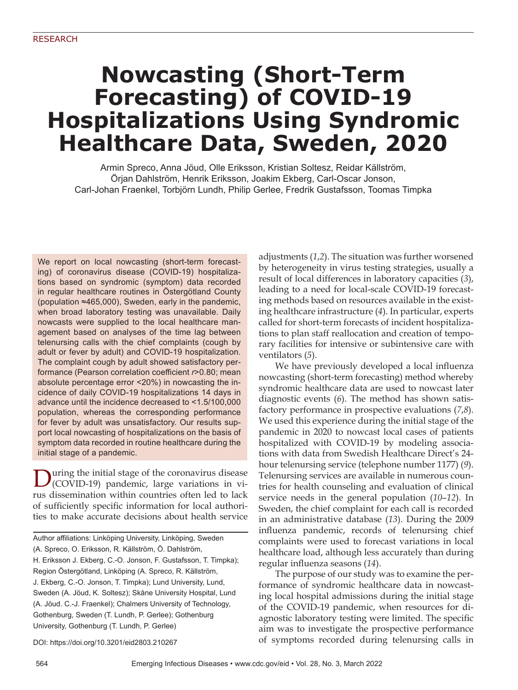# **Nowcasting (Short-Term Forecasting) of COVID-19 Hospitalizations Using Syndromic Healthcare Data, Sweden, 2020**

Armin Spreco, Anna Jöud, Olle Eriksson, Kristian Soltesz, Reidar Källström, Örjan Dahlström, Henrik Eriksson, Joakim Ekberg, Carl-Oscar Jonson, Carl-Johan Fraenkel, Torbjörn Lundh, Philip Gerlee, Fredrik Gustafsson, Toomas Timpka

We report on local nowcasting (short-term forecasting) of coronavirus disease (COVID-19) hospitalizations based on syndromic (symptom) data recorded in regular healthcare routines in Östergötland County (population ≈465,000), Sweden, early in the pandemic, when broad laboratory testing was unavailable. Daily nowcasts were supplied to the local healthcare management based on analyses of the time lag between telenursing calls with the chief complaints (cough by adult or fever by adult) and COVID-19 hospitalization. The complaint cough by adult showed satisfactory performance (Pearson correlation coefficient  $r > 0.80$ ; mean absolute percentage error <20%) in nowcasting the incidence of daily COVID-19 hospitalizations 14 days in advance until the incidence decreased to <1.5/100,000 population, whereas the corresponding performance for fever by adult was unsatisfactory. Our results support local nowcasting of hospitalizations on the basis of symptom data recorded in routine healthcare during the initial stage of a pandemic.

During the initial stage of the coronavirus disease (COVID-19) pandemic, large variations in virus dissemination within countries often led to lack of sufficiently specific information for local authorities to make accurate decisions about health service

DOI: https://doi.org/10.3201/eid2803.210267

adjustments (*1*,*2*). The situation was further worsened by heterogeneity in virus testing strategies, usually a result of local differences in laboratory capacities (*3*), leading to a need for local-scale COVID-19 forecasting methods based on resources available in the existing healthcare infrastructure (*4*). In particular, experts called for short-term forecasts of incident hospitalizations to plan staff reallocation and creation of temporary facilities for intensive or subintensive care with ventilators (*5*).

We have previously developed a local influenza nowcasting (short-term forecasting) method whereby syndromic healthcare data are used to nowcast later diagnostic events (*6*). The method has shown satisfactory performance in prospective evaluations (*7*,*8*). We used this experience during the initial stage of the pandemic in 2020 to nowcast local cases of patients hospitalized with COVID-19 by modeling associations with data from Swedish Healthcare Direct's 24 hour telenursing service (telephone number 1177) (*9*). Telenursing services are available in numerous countries for health counseling and evaluation of clinical service needs in the general population (*10*–*12*). In Sweden, the chief complaint for each call is recorded in an administrative database (*13*). During the 2009 influenza pandemic, records of telenursing chief complaints were used to forecast variations in local healthcare load, although less accurately than during regular influenza seasons (14).

The purpose of our study was to examine the performance of syndromic healthcare data in nowcasting local hospital admissions during the initial stage of the COVID-19 pandemic, when resources for diagnostic laboratory testing were limited. The specific aim was to investigate the prospective performance of symptoms recorded during telenursing calls in

Author affiliations: Linköping University, Linköping, Sweden (A. Spreco, O. Eriksson, R. Källström, Ö. Dahlström, H. Eriksson J. Ekberg, C.-O. Jonson, F. Gustafsson, T. Timpka); Region Östergötland, Linköping (A. Spreco, R. Källström, J. Ekberg, C.-O. Jonson, T. Timpka); Lund University, Lund, Sweden (A. Jöud, K. Soltesz); Skåne University Hospital, Lund (A. Jöud. C.-J. Fraenkel); Chalmers University of Technology, Gothenburg, Sweden (T. Lundh, P. Gerlee); Gothenburg University, Gothenburg (T. Lundh, P. Gerlee)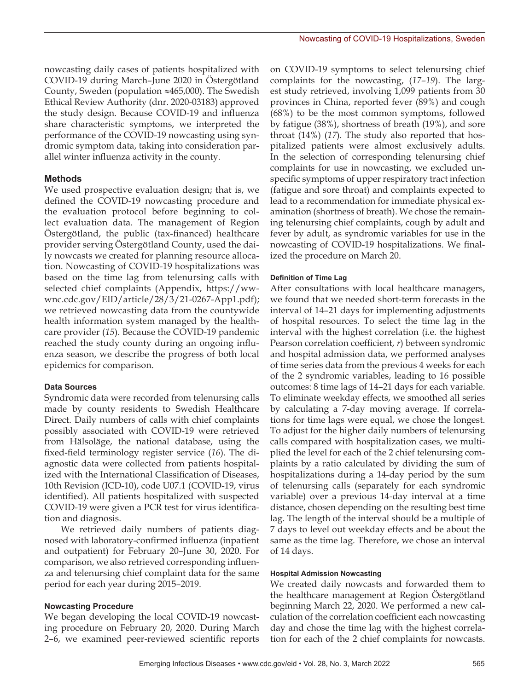nowcasting daily cases of patients hospitalized with COVID-19 during March–June 2020 in Östergötland County, Sweden (population ≈465,000). The Swedish Ethical Review Authority (dnr. 2020-03183) approved the study design. Because COVID-19 and influenza share characteristic symptoms, we interpreted the performance of the COVID-19 nowcasting using syndromic symptom data, taking into consideration parallel winter influenza activity in the county.

## **Methods**

We used prospective evaluation design; that is, we defined the COVID-19 nowcasting procedure and the evaluation protocol before beginning to collect evaluation data. The management of Region Östergötland, the public (tax-financed) healthcare provider serving Östergötland County, used the daily nowcasts we created for planning resource allocation. Nowcasting of COVID-19 hospitalizations was based on the time lag from telenursing calls with selected chief complaints (Appendix, https://wwwnc.cdc.gov/EID/article/28/3/21-0267-App1.pdf); we retrieved nowcasting data from the countywide health information system managed by the healthcare provider (*15*). Because the COVID-19 pandemic reached the study county during an ongoing influenza season, we describe the progress of both local epidemics for comparison.

## **Data Sources**

Syndromic data were recorded from telenursing calls made by county residents to Swedish Healthcare Direct. Daily numbers of calls with chief complaints possibly associated with COVID-19 were retrieved from Hälsoläge, the national database, using the fixed-field terminology register service (*16*). The diagnostic data were collected from patients hospitalized with the International Classification of Diseases, 10th Revision (ICD-10), code U07.1 (COVID-19, virus identified). All patients hospitalized with suspected COVID-19 were given a PCR test for virus identification and diagnosis.

We retrieved daily numbers of patients diagnosed with laboratory-confirmed influenza (inpatient and outpatient) for February 20–June 30, 2020. For comparison, we also retrieved corresponding influenza and telenursing chief complaint data for the same period for each year during 2015–2019.

## **Nowcasting Procedure**

We began developing the local COVID-19 nowcasting procedure on February 20, 2020. During March 2–6, we examined peer-reviewed scientific reports

on COVID-19 symptoms to select telenursing chief complaints for the nowcasting, (*17–19*). The largest study retrieved, involving 1,099 patients from 30 provinces in China, reported fever (89%) and cough (68%) to be the most common symptoms, followed by fatigue (38%), shortness of breath (19%), and sore throat (14%) (*17*). The study also reported that hospitalized patients were almost exclusively adults. In the selection of corresponding telenursing chief complaints for use in nowcasting, we excluded unspecific symptoms of upper respiratory tract infection (fatigue and sore throat) and complaints expected to lead to a recommendation for immediate physical examination (shortness of breath). We chose the remaining telenursing chief complaints, cough by adult and fever by adult, as syndromic variables for use in the nowcasting of COVID-19 hospitalizations. We finalized the procedure on March 20.

## **Definition of Time Lag**

After consultations with local healthcare managers, we found that we needed short-term forecasts in the interval of 14–21 days for implementing adjustments of hospital resources. To select the time lag in the interval with the highest correlation (i.e. the highest Pearson correlation coefficient, *r*) between syndromic and hospital admission data, we performed analyses of time series data from the previous 4 weeks for each of the 2 syndromic variables, leading to 16 possible outcomes: 8 time lags of 14–21 days for each variable. To eliminate weekday effects, we smoothed all series by calculating a 7-day moving average. If correlations for time lags were equal, we chose the longest. To adjust for the higher daily numbers of telenursing calls compared with hospitalization cases, we multiplied the level for each of the 2 chief telenursing complaints by a ratio calculated by dividing the sum of hospitalizations during a 14-day period by the sum of telenursing calls (separately for each syndromic variable) over a previous 14-day interval at a time distance, chosen depending on the resulting best time lag. The length of the interval should be a multiple of 7 days to level out weekday effects and be about the same as the time lag. Therefore, we chose an interval of 14 days.

#### **Hospital Admission Nowcasting**

We created daily nowcasts and forwarded them to the healthcare management at Region Östergötland beginning March 22, 2020. We performed a new calculation of the correlation coefficient each nowcasting day and chose the time lag with the highest correlation for each of the 2 chief complaints for nowcasts.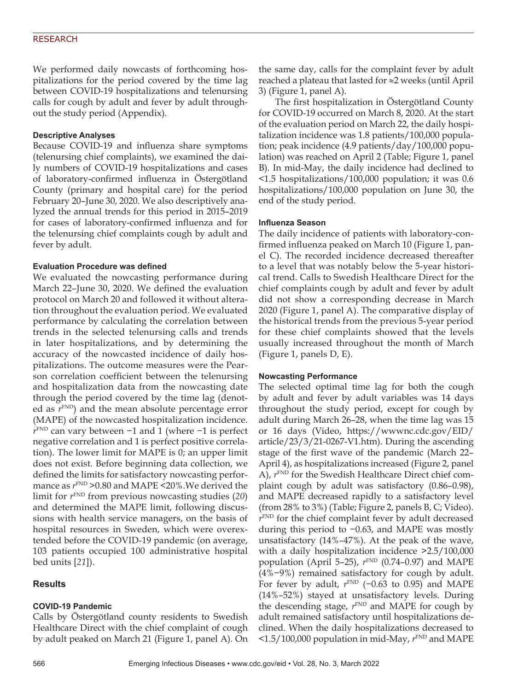## RESEARCH

We performed daily nowcasts of forthcoming hospitalizations for the period covered by the time lag between COVID-19 hospitalizations and telenursing calls for cough by adult and fever by adult throughout the study period (Appendix).

#### **Descriptive Analyses**

Because COVID-19 and influenza share symptoms (telenursing chief complaints), we examined the daily numbers of COVID-19 hospitalizations and cases of laboratory-confirmed influenza in Östergötland County (primary and hospital care) for the period February 20–June 30, 2020. We also descriptively analyzed the annual trends for this period in 2015–2019 for cases of laboratory-confirmed influenza and for the telenursing chief complaints cough by adult and fever by adult.

#### **Evaluation Procedure was defined**

We evaluated the nowcasting performance during March 22–June 30, 2020. We defined the evaluation protocol on March 20 and followed it without alteration throughout the evaluation period. We evaluated performance by calculating the correlation between trends in the selected telenursing calls and trends in later hospitalizations, and by determining the accuracy of the nowcasted incidence of daily hospitalizations. The outcome measures were the Pearson correlation coefficient between the telenursing and hospitalization data from the nowcasting date through the period covered by the time lag (denoted as  $r^{\text{FND}}$ ) and the mean absolute percentage error (MAPE) of the nowcasted hospitalization incidence. *r*<sup>FND</sup> can vary between −1 and 1 (where −1 is perfect negative correlation and 1 is perfect positive correlation). The lower limit for MAPE is 0; an upper limit does not exist. Before beginning data collection, we defined the limits for satisfactory nowcasting performance as  $r^{\text{FND}}$  >0.80 and MAPE <20%. We derived the limit for *r*FND from previous nowcasting studies (*20*) and determined the MAPE limit, following discussions with health service managers, on the basis of hospital resources in Sweden, which were overextended before the COVID-19 pandemic (on average, 103 patients occupied 100 administrative hospital bed units [*21*]).

## **Results**

#### **COVID-19 Pandemic**

Calls by Östergötland county residents to Swedish Healthcare Direct with the chief complaint of cough by adult peaked on March 21 (Figure 1, panel A). On

the same day, calls for the complaint fever by adult reached a plateau that lasted for ≈2 weeks (until April 3) (Figure 1, panel A).

The first hospitalization in Östergötland County for COVID-19 occurred on March 8, 2020. At the start of the evaluation period on March 22, the daily hospitalization incidence was 1.8 patients/100,000 population; peak incidence (4.9 patients/day/100,000 population) was reached on April 2 (Table; Figure 1, panel B). In mid-May, the daily incidence had declined to <1.5 hospitalizations/100,000 population; it was 0.6 hospitalizations/100,000 population on June 30, the end of the study period.

## **Influenza Season**

The daily incidence of patients with laboratory-confirmed influenza peaked on March 10 (Figure 1, panel C). The recorded incidence decreased thereafter to a level that was notably below the 5-year historical trend. Calls to Swedish Healthcare Direct for the chief complaints cough by adult and fever by adult did not show a corresponding decrease in March 2020 (Figure 1, panel A). The comparative display of the historical trends from the previous 5-year period for these chief complaints showed that the levels usually increased throughout the month of March (Figure 1, panels D, E).

#### **Nowcasting Performance**

The selected optimal time lag for both the cough by adult and fever by adult variables was 14 days throughout the study period, except for cough by adult during March 26–28, when the time lag was 15 or 16 days (Video, https://wwwnc.cdc.gov/EID/ article/23/3/21-0267-V1.htm). During the ascending stage of the first wave of the pandemic (March 22– April 4), as hospitalizations increased (Figure 2, panel A),  $r^{\text{FND}}$  for the Swedish Healthcare Direct chief complaint cough by adult was satisfactory (0.86–0.98), and MAPE decreased rapidly to a satisfactory level (from 28% to 3%) (Table; Figure 2, panels B, C; Video). *r*FND for the chief complaint fever by adult decreased during this period to −0.63, and MAPE was mostly unsatisfactory (14%–47%). At the peak of the wave, with a daily hospitalization incidence >2.5/100,000 population (April 5–25),  $r^{\text{FND}}$  (0.74–0.97) and MAPE (4%−9%) remained satisfactory for cough by adult. For fever by adult,  $r^{\text{FND}}$  (-0.63 to 0.95) and MAPE (14%–52%) stayed at unsatisfactory levels. During the descending stage,  $r^{\text{FND}}$  and MAPE for cough by adult remained satisfactory until hospitalizations declined. When the daily hospitalizations decreased to  $\leq$ 1.5/100,000 population in mid-May,  $r^{\text{FND}}$  and MAPE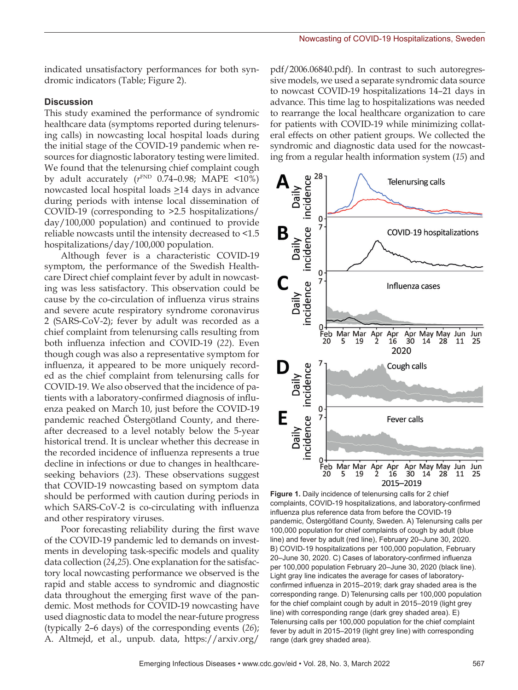indicated unsatisfactory performances for both syndromic indicators (Table; Figure 2).

## **Discussion**

This study examined the performance of syndromic healthcare data (symptoms reported during telenursing calls) in nowcasting local hospital loads during the initial stage of the COVID-19 pandemic when resources for diagnostic laboratory testing were limited. We found that the telenursing chief complaint cough by adult accurately (*r*FND 0.74–0.98; MAPE <10%) nowcasted local hospital loads  $\geq$ 14 days in advance during periods with intense local dissemination of COVID-19 (corresponding to >2.5 hospitalizations/ day/100,000 population) and continued to provide reliable nowcasts until the intensity decreased to <1.5 hospitalizations/day/100,000 population.

Although fever is a characteristic COVID-19 symptom, the performance of the Swedish Healthcare Direct chief complaint fever by adult in nowcasting was less satisfactory. This observation could be cause by the co-circulation of influenza virus strains and severe acute respiratory syndrome coronavirus 2 (SARS-CoV-2); fever by adult was recorded as a chief complaint from telenursing calls resulting from both influenza infection and COVID-19 (*22*). Even though cough was also a representative symptom for influenza, it appeared to be more uniquely recorded as the chief complaint from telenursing calls for COVID-19. We also observed that the incidence of patients with a laboratory-confirmed diagnosis of influenza peaked on March 10, just before the COVID-19 pandemic reached Östergötland County, and thereafter decreased to a level notably below the 5-year historical trend. It is unclear whether this decrease in the recorded incidence of influenza represents a true decline in infections or due to changes in healthcareseeking behaviors (*23*). These observations suggest that COVID-19 nowcasting based on symptom data should be performed with caution during periods in which SARS-CoV-2 is co-circulating with influenza and other respiratory viruses.

Poor forecasting reliability during the first wave of the COVID-19 pandemic led to demands on investments in developing task-specific models and quality data collection (*24*,*25*). One explanation for the satisfactory local nowcasting performance we observed is the rapid and stable access to syndromic and diagnostic data throughout the emerging first wave of the pandemic. Most methods for COVID-19 nowcasting have used diagnostic data to model the near-future progress (typically 2–6 days) of the corresponding events (*26*); A. Altmejd, et al., unpub. data, https://arxiv.org/

pdf/2006.06840.pdf). In contrast to such autoregressive models, we used a separate syndromic data source to nowcast COVID-19 hospitalizations 14–21 days in advance. This time lag to hospitalizations was needed to rearrange the local healthcare organization to care for patients with COVID-19 while minimizing collateral effects on other patient groups. We collected the syndromic and diagnostic data used for the nowcasting from a regular health information system (*15*) and



**Figure 1.** Daily incidence of telenursing calls for 2 chief complaints, COVID-19 hospitalizations, and laboratory-confirmed influenza plus reference data from before the COVID-19 pandemic, Östergötland County, Sweden. A) Telenursing calls per 100,000 population for chief complaints of cough by adult (blue line) and fever by adult (red line), February 20–June 30, 2020. B) COVID-19 hospitalizations per 100,000 population, February 20–June 30, 2020. C) Cases of laboratory-confirmed influenza per 100,000 population February 20–June 30, 2020 (black line). Light gray line indicates the average for cases of laboratoryconfirmed influenza in 2015–2019; dark gray shaded area is the corresponding range. D) Telenursing calls per 100,000 population for the chief complaint cough by adult in 2015–2019 (light grey line) with corresponding range (dark grey shaded area). E) Telenursing calls per 100,000 population for the chief complaint fever by adult in 2015–2019 (light grey line) with corresponding range (dark grey shaded area).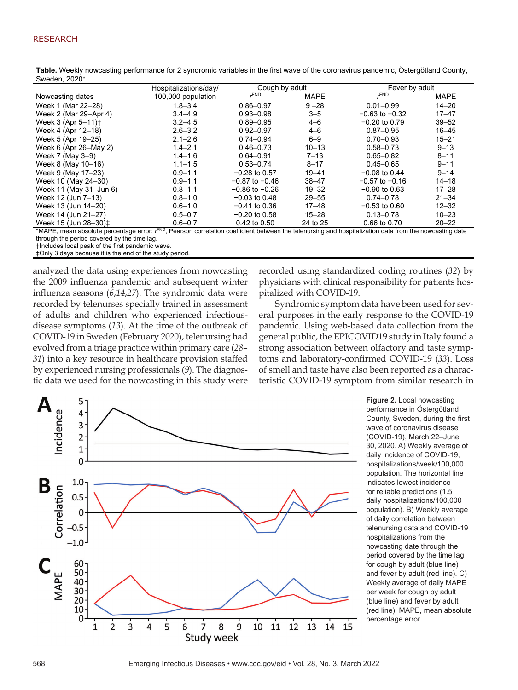## RESEARCH

|                                  | Hospitalizations/day/ | Cough by adult     |             | Fever by adult     |             |
|----------------------------------|-----------------------|--------------------|-------------|--------------------|-------------|
| Nowcasting dates                 | 100,000 population    | <b>FND</b>         | <b>MAPE</b> | <b>FND</b>         | <b>MAPE</b> |
| Week 1 (Mar 22-28)               | $1.8 - 3.4$           | $0.86 - 0.97$      | $9 - 28$    | $0.01 - 0.99$      | $14 - 20$   |
| Week 2 (Mar 29-Apr 4)            | $3.4 - 4.9$           | $0.93 - 0.98$      | $3 - 5$     | $-0.63$ to $-0.32$ | $17 - 47$   |
| Week 3 (Apr 5-11) <sup>+</sup>   | $3.2 - 4.5$           | $0.89 - 0.95$      | $4 - 6$     | $-0.20$ to 0.79    | $39 - 52$   |
| Week 4 (Apr 12-18)               | $2.6 - 3.2$           | $0.92 - 0.97$      | $4 - 6$     | $0.87 - 0.95$      | $16 - 45$   |
| Week 5 (Apr 19-25)               | $2.1 - 2.6$           | $0.74 - 0.94$      | $6 - 9$     | $0.70 - 0.93$      | $15 - 21$   |
| Week 6 (Apr 26-May 2)            | $1.4 - 2.1$           | $0.46 - 0.73$      | $10 - 13$   | $0.58 - 0.73$      | $9 - 13$    |
| Week 7 (May 3-9)                 | $1.4 - 1.6$           | $0.64 - 0.91$      | $7 - 13$    | $0.65 - 0.82$      | $8 - 11$    |
| Week 8 (May 10-16)               | $1.1 - 1.5$           | $0.53 - 0.74$      | $8 - 17$    | $0.45 - 0.65$      | $9 - 11$    |
| Week 9 (May 17-23)               | $0.9 - 1.1$           | $-0.28$ to 0.57    | $19 - 41$   | $-0.08$ to 0.44    | $9 - 14$    |
| Week 10 (May 24-30)              | $0.9 - 1.1$           | $-0.87$ to $-0.46$ | $38 - 47$   | $-0.57$ to $-0.16$ | $14 - 18$   |
| Week 11 (May 31-Jun 6)           | $0.8 - 1.1$           | $-0.86$ to $-0.26$ | $19 - 32$   | $-0.90$ to 0.63    | $17 - 28$   |
| Week 12 (Jun 7-13)               | $0.8 - 1.0$           | $-0.03$ to 0.48    | $29 - 55$   | $0.74 - 0.78$      | $21 - 34$   |
| Week 13 (Jun 14-20)              | $0.6 - 1.0$           | $-0.41$ to 0.36    | $17 - 48$   | $-0.53$ to $0.60$  | $12 - 32$   |
| Week 14 (Jun 21-27)              | $0.5 - 0.7$           | $-0.20$ to 0.58    | $15 - 28$   | $0.13 - 0.78$      | $10 - 23$   |
| Week 15 (Jun 28-30) <sup>±</sup> | $0.6 - 0.7$           | 0.42 to 0.50       | 24 to 25    | 0.66 to 0.70       | $20 - 22$   |

**Table.** Weekly nowcasting performance for 2 syndromic variables in the first wave of the coronavirus pandemic, Östergötland County, Sweden, 2020\*

\*MAPE, mean absolute percentage error; *r* FND, Pearson correlation coefficient between the telenursing and hospitalization data from the nowcasting date through the period covered by the time lag.

†Includes local peak of the first pandemic wave.

‡Only 3 days because it is the end of the study period.

analyzed the data using experiences from nowcasting the 2009 influenza pandemic and subsequent winter influenza seasons (*6*,*14*,*27*). The syndromic data were recorded by telenurses specially trained in assessment of adults and children who experienced infectiousdisease symptoms (*13*). At the time of the outbreak of COVID-19 in Sweden (February 2020), telenursing had evolved from a triage practice within primary care (*28*– *31*) into a key resource in healthcare provision staffed by experienced nursing professionals (*9*). The diagnostic data we used for the nowcasting in this study were recorded using standardized coding routines (*32*) by physicians with clinical responsibility for patients hospitalized with COVID-19.

Syndromic symptom data have been used for several purposes in the early response to the COVID-19 pandemic. Using web-based data collection from the general public, the EPICOVID19 study in Italy found a strong association between olfactory and taste symptoms and laboratory-confirmed COVID-19 (*33*). Loss of smell and taste have also been reported as a characteristic COVID-19 symptom from similar research in



**Figure 2.** Local nowcasting performance in Östergötland County, Sweden, during the first wave of coronavirus disease (COVID-19), March 22–June 30, 2020. A) Weekly average of daily incidence of COVID-19, hospitalizations/week/100,000 population. The horizontal line indicates lowest incidence for reliable predictions (1.5 daily hospitalizations/100,000 population). B) Weekly average of daily correlation between telenursing data and COVID-19 hospitalizations from the nowcasting date through the period covered by the time lag for cough by adult (blue line) and fever by adult (red line). C) Weekly average of daily MAPE per week for cough by adult (blue line) and fever by adult (red line). MAPE, mean absolute percentage error.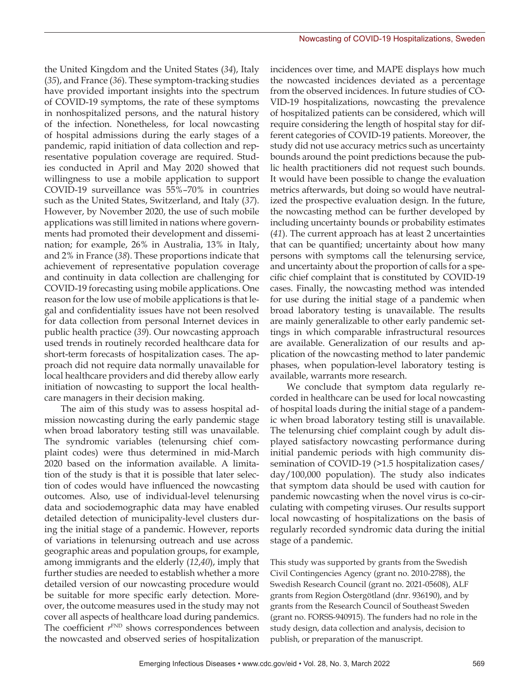the United Kingdom and the United States (*34*), Italy (*35*), and France (*36*). These symptom-tracking studies have provided important insights into the spectrum of COVID-19 symptoms, the rate of these symptoms in nonhospitalized persons, and the natural history of the infection. Nonetheless, for local nowcasting of hospital admissions during the early stages of a pandemic, rapid initiation of data collection and representative population coverage are required. Studies conducted in April and May 2020 showed that willingness to use a mobile application to support COVID-19 surveillance was 55%–70% in countries such as the United States, Switzerland, and Italy (*37*). However, by November 2020, the use of such mobile applications was still limited in nations where governments had promoted their development and dissemination; for example, 26% in Australia, 13% in Italy, and 2% in France (*38*). These proportions indicate that achievement of representative population coverage and continuity in data collection are challenging for COVID-19 forecasting using mobile applications. One reason for the low use of mobile applications is that legal and confidentiality issues have not been resolved for data collection from personal Internet devices in public health practice (*39*). Our nowcasting approach used trends in routinely recorded healthcare data for short-term forecasts of hospitalization cases. The approach did not require data normally unavailable for local healthcare providers and did thereby allow early initiation of nowcasting to support the local healthcare managers in their decision making.

The aim of this study was to assess hospital admission nowcasting during the early pandemic stage when broad laboratory testing still was unavailable. The syndromic variables (telenursing chief complaint codes) were thus determined in mid-March 2020 based on the information available. A limitation of the study is that it is possible that later selection of codes would have influenced the nowcasting outcomes. Also, use of individual-level telenursing data and sociodemographic data may have enabled detailed detection of municipality-level clusters during the initial stage of a pandemic. However, reports of variations in telenursing outreach and use across geographic areas and population groups, for example, among immigrants and the elderly (*12*,*40*), imply that further studies are needed to establish whether a more detailed version of our nowcasting procedure would be suitable for more specific early detection. Moreover, the outcome measures used in the study may not cover all aspects of healthcare load during pandemics. The coefficient  $r^{\text{FND}}$  shows correspondences between the nowcasted and observed series of hospitalization

incidences over time, and MAPE displays how much the nowcasted incidences deviated as a percentage from the observed incidences. In future studies of CO-VID-19 hospitalizations, nowcasting the prevalence of hospitalized patients can be considered, which will require considering the length of hospital stay for different categories of COVID-19 patients. Moreover, the study did not use accuracy metrics such as uncertainty bounds around the point predictions because the public health practitioners did not request such bounds. It would have been possible to change the evaluation metrics afterwards, but doing so would have neutralized the prospective evaluation design. In the future, the nowcasting method can be further developed by including uncertainty bounds or probability estimates (*41*). The current approach has at least 2 uncertainties that can be quantified; uncertainty about how many persons with symptoms call the telenursing service, and uncertainty about the proportion of calls for a specific chief complaint that is constituted by COVID-19 cases. Finally, the nowcasting method was intended for use during the initial stage of a pandemic when broad laboratory testing is unavailable. The results are mainly generalizable to other early pandemic settings in which comparable infrastructural resources are available. Generalization of our results and application of the nowcasting method to later pandemic phases, when population-level laboratory testing is available, warrants more research.

We conclude that symptom data regularly recorded in healthcare can be used for local nowcasting of hospital loads during the initial stage of a pandemic when broad laboratory testing still is unavailable. The telenursing chief complaint cough by adult displayed satisfactory nowcasting performance during initial pandemic periods with high community dissemination of COVID-19 (>1.5 hospitalization cases/ day/100,000 population). The study also indicates that symptom data should be used with caution for pandemic nowcasting when the novel virus is co-circulating with competing viruses. Our results support local nowcasting of hospitalizations on the basis of regularly recorded syndromic data during the initial stage of a pandemic.

This study was supported by grants from the Swedish Civil Contingencies Agency (grant no. 2010-2788), the Swedish Research Council (grant no. 2021-05608), ALF grants from Region Östergötland (dnr. 936190), and by grants from the Research Council of Southeast Sweden (grant no. FORSS-940915). The funders had no role in the study design, data collection and analysis, decision to publish, or preparation of the manuscript.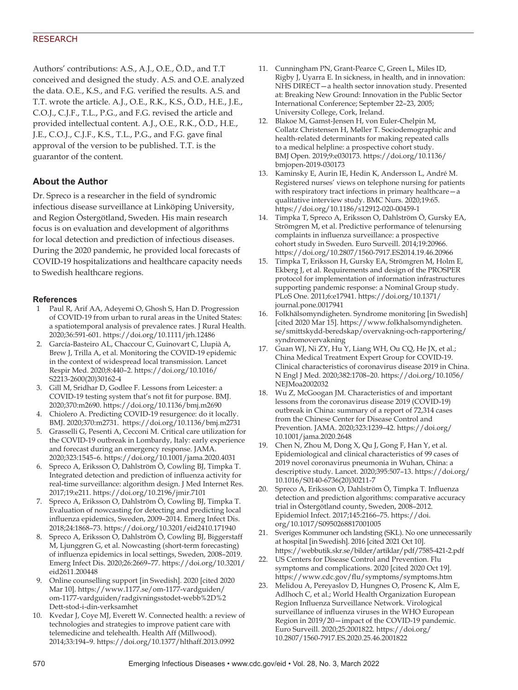## RESEARCH

Authors' contributions: A.S., A.J., O.E., Ö.D., and T.T conceived and designed the study. A.S. and O.E. analyzed the data. O.E., K.S., and F.G. verified the results. A.S. and T.T. wrote the article. A.J., O.E., R.K., K.S., Ö.D., H.E., J.E., C.O.J., C.J.F., T.L., P.G., and F.G. revised the article and provided intellectual content. A.J., O.E., R.K., Ö.D., H.E., J.E., C.O.J., C.J.F., K.S., T.L., P.G., and F.G. gave final approval of the version to be published. T.T. is the guarantor of the content.

## **About the Author**

Dr. Spreco is a researcher in the field of syndromic infectious disease surveillance at Linköping University, and Region Östergötland, Sweden. His main research focus is on evaluation and development of algorithms for local detection and prediction of infectious diseases. During the 2020 pandemic, he provided local forecasts of COVID-19 hospitalizations and healthcare capacity needs to Swedish healthcare regions.

## **References**

- 1 Paul R, Arif AA, Adeyemi O, Ghosh S, Han D. Progression of COVID-19 from urban to rural areas in the United States: a spatiotemporal analysis of prevalence rates. J Rural Health. 2020;36:591-601. https://doi.org/10.1111/jrh.12486
- 2. García-Basteiro AL, Chaccour C, Guinovart C, Llupià A, Brew J, Trilla A, et al. Monitoring the COVID-19 epidemic in the context of widespread local transmission. Lancet Respir Med. 2020;8:440–2. https://doi.org/10.1016/ S2213-2600(20)30162-4
- 3. Gill M, Sridhar D, Godlee F. Lessons from Leicester: a COVID-19 testing system that's not fit for purpose. BMJ. 2020;370:m2690. https://doi.org/10.1136/bmj.m2690
- 4. Chiolero A. Predicting COVID-19 resurgence: do it locally. BMJ. 2020;370:m2731. https://doi.org/10.1136/bmj.m2731
- 5. Grasselli G, Pesenti A, Cecconi M. Critical care utilization for the COVID-19 outbreak in Lombardy, Italy: early experience and forecast during an emergency response. JAMA. 2020;323:1545–6. https://doi.org/10.1001/jama.2020.4031
- 6. Spreco A, Eriksson O, Dahlström Ö, Cowling BJ, Timpka T. Integrated detection and prediction of influenza activity for real-time surveillance: algorithm design. J Med Internet Res. 2017;19:e211. https://doi.org/10.2196/jmir.7101
- 7. Spreco A, Eriksson O, Dahlström Ö, Cowling BJ, Timpka T. Evaluation of nowcasting for detecting and predicting local influenza epidemics, Sweden, 2009–2014. Emerg Infect Dis. 2018;24:1868–73. https://doi.org/10.3201/eid2410.171940
- 8. Spreco A, Eriksson O, Dahlström Ö, Cowling BJ, Biggerstaff M, Ljunggren G, et al. Nowcasting (short-term forecasting) of influenza epidemics in local settings, Sweden, 2008–2019. Emerg Infect Dis. 2020;26:2669–77. https://doi.org/10.3201/ eid2611.200448
- 9. Online counselling support [in Swedish]. 2020 [cited 2020 Mar 10]. https://www.1177.se/om-1177-vardguiden/ om-1177-vardguiden/radgivningsstodet-webb%2D%2 Dett-stod-i-din-verksamhet
- 10. Kvedar J, Coye MJ, Everett W. Connected health: a review of technologies and strategies to improve patient care with telemedicine and telehealth. Health Aff (Millwood). 2014;33:194–9. https://doi.org/10.1377/hlthaff.2013.0992
- 11. Cunningham PN, Grant-Pearce C, Green L, Miles ID, Rigby J, Uyarra E. In sickness, in health, and in innovation: NHS DIRECT—a health sector innovation study. Presented at: Breaking New Ground: Innovation in the Public Sector International Conference; September 22–23, 2005; University College, Cork, Ireland.
- 12. Blakoe M, Gamst-Jensen H, von Euler-Chelpin M, Collatz Christensen H, Møller T. Sociodemographic and health-related determinants for making repeated calls to a medical helpline: a prospective cohort study. BMJ Open. 2019;9:e030173. https://doi.org/10.1136/ bmjopen-2019-030173
- 13. Kaminsky E, Aurin IE, Hedin K, Andersson L, André M. Registered nurses' views on telephone nursing for patients with respiratory tract infections in primary healthcare—a qualitative interview study. BMC Nurs. 2020;19:65. https://doi.org/10.1186/s12912-020-00459-1
- 14. Timpka T, Spreco A, Eriksson O, Dahlström Ö, Gursky EA, Strömgren M, et al. Predictive performance of telenursing complaints in influenza surveillance: a prospective cohort study in Sweden. Euro Surveill. 2014;19:20966. https://doi.org/10.2807/1560-7917.ES2014.19.46.20966
- 15. Timpka T, Eriksson H, Gursky EA, Strömgren M, Holm E, Ekberg J, et al. Requirements and design of the PROSPER protocol for implementation of information infrastructures supporting pandemic response: a Nominal Group study. PLoS One. 2011;6:e17941. https://doi.org/10.1371/ journal.pone.0017941
- 16. Folkhälsomyndigheten. Syndrome monitoring [in Swedish] [cited 2020 Mar 15]. https://www.folkhalsomyndigheten. se/smittskydd-beredskap/overvakning-och-rapportering/ syndromovervakning
- 17. Guan WJ, Ni ZY, Hu Y, Liang WH, Ou CQ, He JX, et al.; China Medical Treatment Expert Group for COVID-19. Clinical characteristics of coronavirus disease 2019 in China. N Engl J Med. 2020;382:1708–20. https://doi.org/10.1056/ NEJMoa2002032
- 18. Wu Z, McGoogan JM. Characteristics of and important lessons from the coronavirus disease 2019 (COVID-19) outbreak in China: summary of a report of 72,314 cases from the Chinese Center for Disease Control and Prevention. JAMA. 2020;323:1239–42. https://doi.org/ 10.1001/jama.2020.2648
- 19. Chen N, Zhou M, Dong X, Qu J, Gong F, Han Y, et al. Epidemiological and clinical characteristics of 99 cases of 2019 novel coronavirus pneumonia in Wuhan, China: a descriptive study. Lancet. 2020;395:507–13. https://doi.org/ 10.1016/S0140-6736(20)30211-7
- 20. Spreco A, Eriksson O, Dahlström Ö, Timpka T. Influenza detection and prediction algorithms: comparative accuracy trial in Östergötland county, Sweden, 2008–2012. Epidemiol Infect. 2017;145:2166–75. https://doi. org/10.1017/S0950268817001005
- 21. Sveriges Kommuner och landsting (SKL). No one unnecessarily at hospital [in Swedish]. 2016 [cited 2021 Oct 10]. https://webbutik.skr.se/bilder/artiklar/pdf/7585-421-2.pdf
- 22. US Centers for Disease Control and Prevention. Flu symptoms and complications. 2020 [cited 2020 Oct 19]. https://www.cdc.gov/flu/symptoms/symptoms.htm
- 23. Melidou A, Pereyaslov D, Hungnes O, Prosenc K, Alm E, Adlhoch C, et al.; World Health Organization European Region Influenza Surveillance Network. Virological surveillance of influenza viruses in the WHO European Region in 2019/20—impact of the COVID-19 pandemic. Euro Surveill. 2020;25:2001822. https://doi.org/ 10.2807/1560-7917.ES.2020.25.46.2001822